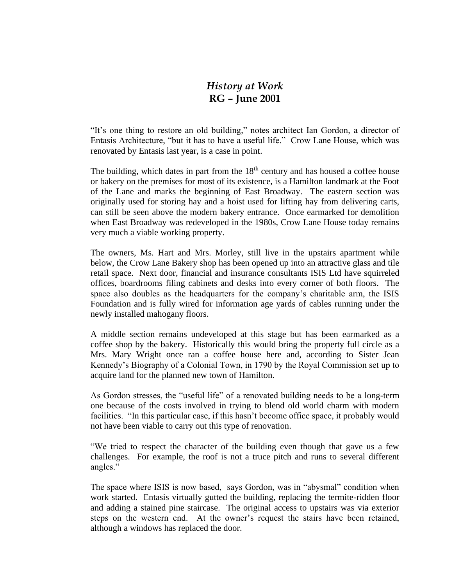## *History at Work* **RG – June 2001**

"It's one thing to restore an old building," notes architect Ian Gordon, a director of Entasis Architecture, "but it has to have a useful life." Crow Lane House, which was renovated by Entasis last year, is a case in point.

The building, which dates in part from the  $18<sup>th</sup>$  century and has housed a coffee house or bakery on the premises for most of its existence, is a Hamilton landmark at the Foot of the Lane and marks the beginning of East Broadway. The eastern section was originally used for storing hay and a hoist used for lifting hay from delivering carts, can still be seen above the modern bakery entrance. Once earmarked for demolition when East Broadway was redeveloped in the 1980s, Crow Lane House today remains very much a viable working property.

The owners, Ms. Hart and Mrs. Morley, still live in the upstairs apartment while below, the Crow Lane Bakery shop has been opened up into an attractive glass and tile retail space. Next door, financial and insurance consultants ISIS Ltd have squirreled offices, boardrooms filing cabinets and desks into every corner of both floors. The space also doubles as the headquarters for the company's charitable arm, the ISIS Foundation and is fully wired for information age yards of cables running under the newly installed mahogany floors.

A middle section remains undeveloped at this stage but has been earmarked as a coffee shop by the bakery. Historically this would bring the property full circle as a Mrs. Mary Wright once ran a coffee house here and, according to Sister Jean Kennedy's Biography of a Colonial Town, in 1790 by the Royal Commission set up to acquire land for the planned new town of Hamilton.

As Gordon stresses, the "useful life" of a renovated building needs to be a long-term one because of the costs involved in trying to blend old world charm with modern facilities. "In this particular case, if this hasn't become office space, it probably would not have been viable to carry out this type of renovation.

"We tried to respect the character of the building even though that gave us a few challenges. For example, the roof is not a truce pitch and runs to several different angles."

The space where ISIS is now based, says Gordon, was in "abysmal" condition when work started. Entasis virtually gutted the building, replacing the termite-ridden floor and adding a stained pine staircase. The original access to upstairs was via exterior steps on the western end. At the owner's request the stairs have been retained, although a windows has replaced the door.